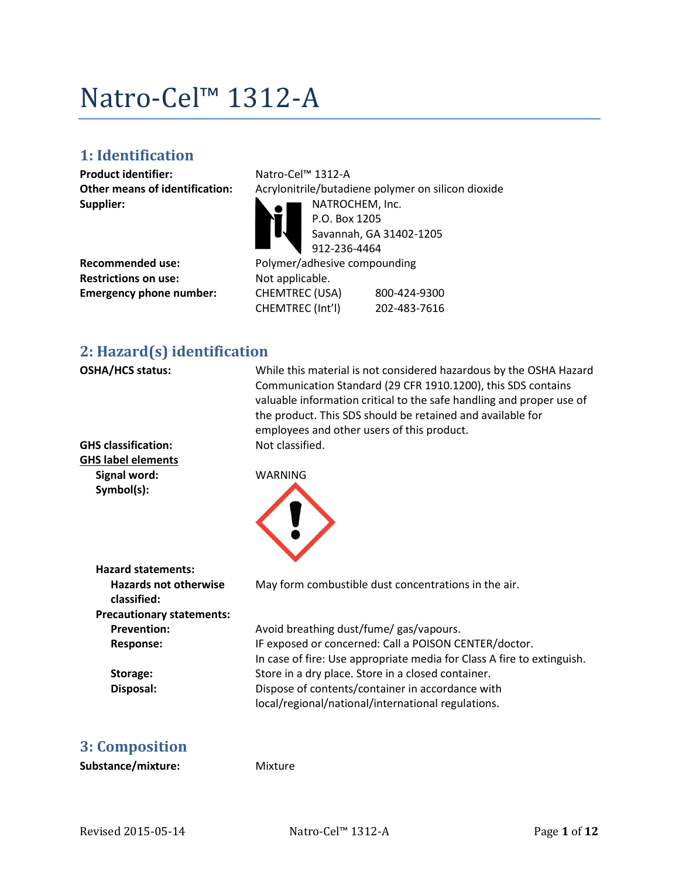# Natro-Cel™ 1312-A

## **1: Identification**

**Product identifier:** Natro-Cel™ 1312-A **Supplier:** NATROCHEM, Inc.

**Restrictions on use:** Not applicable.

**Other means of identification:** Acrylonitrile/butadiene polymer on silicon dioxide P.O. Box 1205 Savannah, GA 31402-1205 912-236-4464 Recommended use: Polymer/adhesive compounding **Emergency phone number:** CHEMTREC (USA) 800-424-9300 CHEMTREC (Int'l) 202-483-7616

## **2: Hazard(s) identification**

| <b>OSHA/HCS status:</b><br><b>GHS classification:</b><br><b>GHS label elements</b><br>Signal word:<br>Symbol(s): | While this material is not considered hazardous by the OSHA Hazard<br>Communication Standard (29 CFR 1910.1200), this SDS contains<br>valuable information critical to the safe handling and proper use of<br>the product. This SDS should be retained and available for<br>employees and other users of this product.<br>Not classified.<br><b>WARNING</b> |
|------------------------------------------------------------------------------------------------------------------|-------------------------------------------------------------------------------------------------------------------------------------------------------------------------------------------------------------------------------------------------------------------------------------------------------------------------------------------------------------|
| <b>Hazard statements:</b><br><b>Hazards not otherwise</b><br>classified:                                         | May form combustible dust concentrations in the air.                                                                                                                                                                                                                                                                                                        |
| <b>Precautionary statements:</b><br><b>Prevention:</b>                                                           |                                                                                                                                                                                                                                                                                                                                                             |
| <b>Response:</b>                                                                                                 | Avoid breathing dust/fume/ gas/vapours.<br>IF exposed or concerned: Call a POISON CENTER/doctor.<br>In case of fire: Use appropriate media for Class A fire to extinguish.                                                                                                                                                                                  |
| Storage:                                                                                                         | Store in a dry place. Store in a closed container.                                                                                                                                                                                                                                                                                                          |
| Disposal:                                                                                                        | Dispose of contents/container in accordance with<br>local/regional/national/international regulations.                                                                                                                                                                                                                                                      |
| <b>3: Composition</b>                                                                                            |                                                                                                                                                                                                                                                                                                                                                             |
| Substance/mixture:                                                                                               | Mixture                                                                                                                                                                                                                                                                                                                                                     |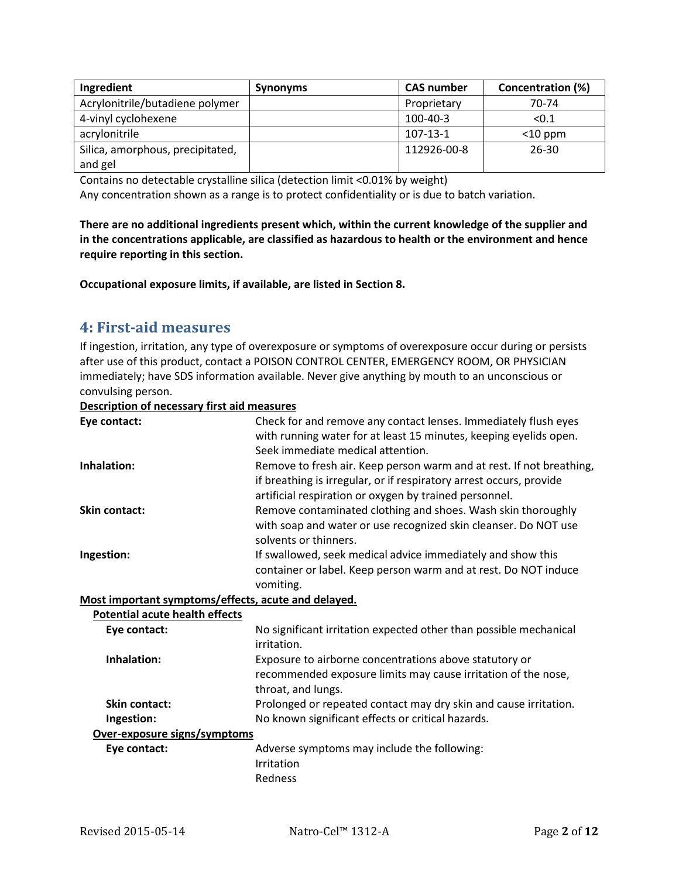| Ingredient                       | <b>Synonyms</b> | <b>CAS number</b> | Concentration (%) |
|----------------------------------|-----------------|-------------------|-------------------|
| Acrylonitrile/butadiene polymer  |                 | Proprietary       | 70-74             |
| 4-vinyl cyclohexene              |                 | $100 - 40 - 3$    | < 0.1             |
| acrylonitrile                    |                 | $107 - 13 - 1$    | $<$ 10 ppm        |
| Silica, amorphous, precipitated, |                 | 112926-00-8       | $26 - 30$         |
| and gel                          |                 |                   |                   |

Contains no detectable crystalline silica (detection limit <0.01% by weight)

Any concentration shown as a range is to protect confidentiality or is due to batch variation.

**There are no additional ingredients present which, within the current knowledge of the supplier and in the concentrations applicable, are classified as hazardous to health or the environment and hence require reporting in this section.**

**Occupational exposure limits, if available, are listed in Section 8.**

## **4: First-aid measures**

If ingestion, irritation, any type of overexposure or symptoms of overexposure occur during or persists after use of this product, contact a POISON CONTROL CENTER, EMERGENCY ROOM, OR PHYSICIAN immediately; have SDS information available. Never give anything by mouth to an unconscious or convulsing person.

#### **Description of necessary first aid measures**

| Eye contact:                                        | Check for and remove any contact lenses. Immediately flush eyes      |
|-----------------------------------------------------|----------------------------------------------------------------------|
|                                                     | with running water for at least 15 minutes, keeping eyelids open.    |
|                                                     | Seek immediate medical attention.                                    |
| Inhalation:                                         | Remove to fresh air. Keep person warm and at rest. If not breathing, |
|                                                     | if breathing is irregular, or if respiratory arrest occurs, provide  |
|                                                     | artificial respiration or oxygen by trained personnel.               |
| <b>Skin contact:</b>                                | Remove contaminated clothing and shoes. Wash skin thoroughly         |
|                                                     | with soap and water or use recognized skin cleanser. Do NOT use      |
|                                                     | solvents or thinners.                                                |
| Ingestion:                                          | If swallowed, seek medical advice immediately and show this          |
|                                                     | container or label. Keep person warm and at rest. Do NOT induce      |
|                                                     | vomiting.                                                            |
| Most important symptoms/effects, acute and delayed. |                                                                      |
| <b>Potential acute health effects</b>               |                                                                      |
| Eye contact:                                        | No significant irritation expected other than possible mechanical    |
|                                                     | irritation.                                                          |
| Inhalation:                                         | Exposure to airborne concentrations above statutory or               |
|                                                     | recommended exposure limits may cause irritation of the nose,        |
|                                                     | throat, and lungs.                                                   |
| <b>Skin contact:</b>                                | Prolonged or repeated contact may dry skin and cause irritation.     |
| Ingestion:                                          | No known significant effects or critical hazards.                    |
| Over-exposure signs/symptoms                        |                                                                      |
| Eye contact:                                        | Adverse symptoms may include the following:                          |
|                                                     | Irritation                                                           |
|                                                     | Redness                                                              |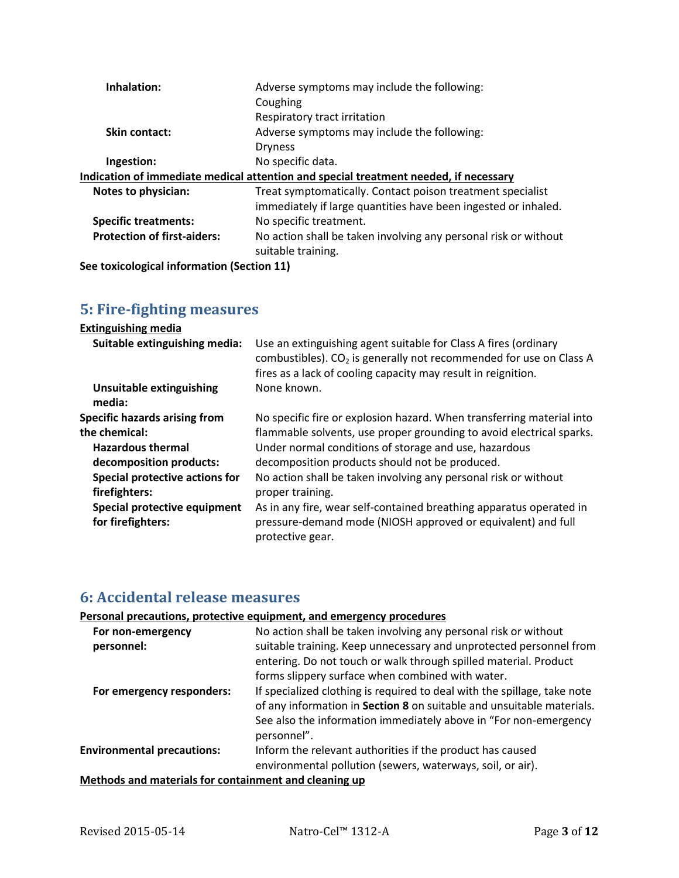| Inhalation:                                                                          | Adverse symptoms may include the following:<br>Coughing         |  |
|--------------------------------------------------------------------------------------|-----------------------------------------------------------------|--|
|                                                                                      | Respiratory tract irritation                                    |  |
| <b>Skin contact:</b>                                                                 | Adverse symptoms may include the following:                     |  |
|                                                                                      | <b>Dryness</b>                                                  |  |
| Ingestion:                                                                           | No specific data.                                               |  |
| Indication of immediate medical attention and special treatment needed, if necessary |                                                                 |  |
| Notes to physician:                                                                  | Treat symptomatically. Contact poison treatment specialist      |  |
|                                                                                      | immediately if large quantities have been ingested or inhaled.  |  |
| <b>Specific treatments:</b>                                                          | No specific treatment.                                          |  |
| <b>Protection of first-aiders:</b>                                                   | No action shall be taken involving any personal risk or without |  |
|                                                                                      | suitable training.                                              |  |
| Contovicological information (Costian 11)                                            |                                                                 |  |

**See toxicological information (Section 11)**

## **5: Fire-fighting measures**

| <b>Extinguishing media</b>                |                                                                                                                                                                                                                    |
|-------------------------------------------|--------------------------------------------------------------------------------------------------------------------------------------------------------------------------------------------------------------------|
| Suitable extinguishing media:             | Use an extinguishing agent suitable for Class A fires (ordinary<br>combustibles). CO <sub>2</sub> is generally not recommended for use on Class A<br>fires as a lack of cooling capacity may result in reignition. |
| <b>Unsuitable extinguishing</b><br>media: | None known.                                                                                                                                                                                                        |
| <b>Specific hazards arising from</b>      | No specific fire or explosion hazard. When transferring material into                                                                                                                                              |
| the chemical:                             | flammable solvents, use proper grounding to avoid electrical sparks.                                                                                                                                               |
| <b>Hazardous thermal</b>                  | Under normal conditions of storage and use, hazardous                                                                                                                                                              |
| decomposition products:                   | decomposition products should not be produced.                                                                                                                                                                     |
| Special protective actions for            | No action shall be taken involving any personal risk or without                                                                                                                                                    |
| firefighters:                             | proper training.                                                                                                                                                                                                   |
| Special protective equipment              | As in any fire, wear self-contained breathing apparatus operated in                                                                                                                                                |
| for firefighters:                         | pressure-demand mode (NIOSH approved or equivalent) and full<br>protective gear.                                                                                                                                   |

## **6: Accidental release measures**

### **Personal precautions, protective equipment, and emergency procedures**

| For non-emergency<br>personnel:                       | No action shall be taken involving any personal risk or without<br>suitable training. Keep unnecessary and unprotected personnel from<br>entering. Do not touch or walk through spilled material. Product                            |  |
|-------------------------------------------------------|--------------------------------------------------------------------------------------------------------------------------------------------------------------------------------------------------------------------------------------|--|
|                                                       | forms slippery surface when combined with water.                                                                                                                                                                                     |  |
| For emergency responders:                             | If specialized clothing is required to deal with the spillage, take note<br>of any information in Section 8 on suitable and unsuitable materials.<br>See also the information immediately above in "For non-emergency<br>personnel". |  |
| <b>Environmental precautions:</b>                     | Inform the relevant authorities if the product has caused                                                                                                                                                                            |  |
|                                                       | environmental pollution (sewers, waterways, soil, or air).                                                                                                                                                                           |  |
| Methods and materials for containment and cleaning up |                                                                                                                                                                                                                                      |  |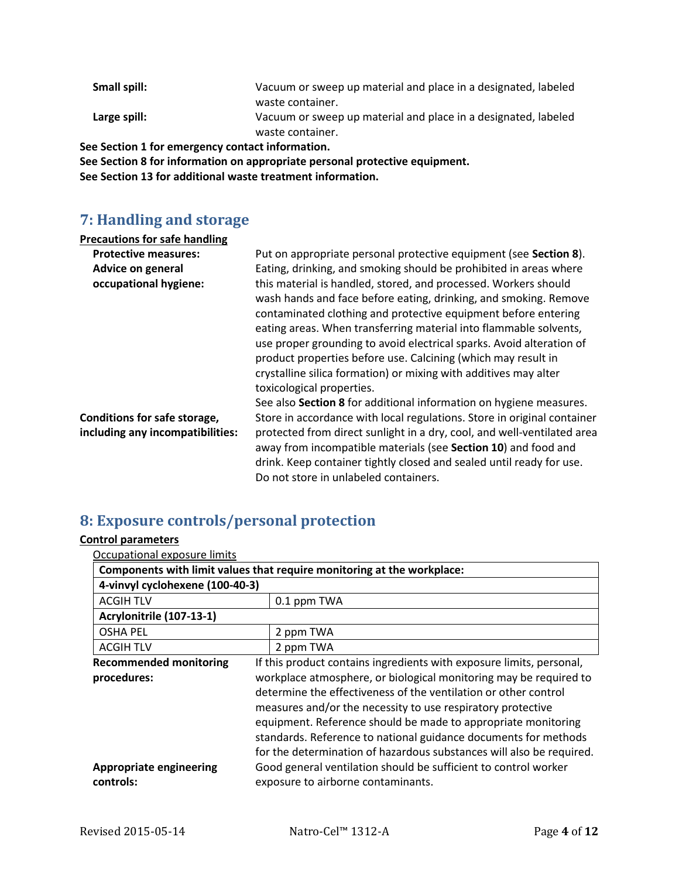| Small spill:                                     | Vacuum or sweep up material and place in a designated, labeled |
|--------------------------------------------------|----------------------------------------------------------------|
|                                                  | waste container.                                               |
| Large spill:                                     | Vacuum or sweep up material and place in a designated, labeled |
|                                                  | waste container.                                               |
| See Section 1 for emergency contact information. |                                                                |
|                                                  |                                                                |

**See Section 8 for information on appropriate personal protective equipment. See Section 13 for additional waste treatment information.**

## **7: Handling and storage**

| <b>Precautions for safe handling</b>                             |                                                                                                                                                                                                                                                                                                                                                                                                                                                                                                                      |
|------------------------------------------------------------------|----------------------------------------------------------------------------------------------------------------------------------------------------------------------------------------------------------------------------------------------------------------------------------------------------------------------------------------------------------------------------------------------------------------------------------------------------------------------------------------------------------------------|
| <b>Protective measures:</b>                                      | Put on appropriate personal protective equipment (see Section 8).                                                                                                                                                                                                                                                                                                                                                                                                                                                    |
| Advice on general                                                | Eating, drinking, and smoking should be prohibited in areas where                                                                                                                                                                                                                                                                                                                                                                                                                                                    |
| occupational hygiene:                                            | this material is handled, stored, and processed. Workers should<br>wash hands and face before eating, drinking, and smoking. Remove<br>contaminated clothing and protective equipment before entering<br>eating areas. When transferring material into flammable solvents,<br>use proper grounding to avoid electrical sparks. Avoid alteration of<br>product properties before use. Calcining (which may result in<br>crystalline silica formation) or mixing with additives may alter<br>toxicological properties. |
|                                                                  | See also Section 8 for additional information on hygiene measures.                                                                                                                                                                                                                                                                                                                                                                                                                                                   |
| Conditions for safe storage,<br>including any incompatibilities: | Store in accordance with local regulations. Store in original container<br>protected from direct sunlight in a dry, cool, and well-ventilated area<br>away from incompatible materials (see Section 10) and food and<br>drink. Keep container tightly closed and sealed until ready for use.<br>Do not store in unlabeled containers.                                                                                                                                                                                |

## **8: Exposure controls/personal protection**

## **Control parameters**

| Occupational exposure limits                                         |                                                                        |  |  |
|----------------------------------------------------------------------|------------------------------------------------------------------------|--|--|
|                                                                      | Components with limit values that require monitoring at the workplace: |  |  |
| 4-vinvyl cyclohexene (100-40-3)                                      |                                                                        |  |  |
| <b>ACGIH TLV</b>                                                     | 0.1 ppm TWA                                                            |  |  |
| Acrylonitrile (107-13-1)                                             |                                                                        |  |  |
| <b>OSHA PEL</b>                                                      | 2 ppm TWA                                                              |  |  |
| <b>ACGIH TLV</b>                                                     | 2 ppm TWA                                                              |  |  |
| <b>Recommended monitoring</b>                                        | If this product contains ingredients with exposure limits, personal,   |  |  |
| procedures:                                                          | workplace atmosphere, or biological monitoring may be required to      |  |  |
|                                                                      | determine the effectiveness of the ventilation or other control        |  |  |
|                                                                      | measures and/or the necessity to use respiratory protective            |  |  |
|                                                                      | equipment. Reference should be made to appropriate monitoring          |  |  |
|                                                                      | standards. Reference to national guidance documents for methods        |  |  |
| for the determination of hazardous substances will also be required. |                                                                        |  |  |
| <b>Appropriate engineering</b>                                       | Good general ventilation should be sufficient to control worker        |  |  |
| controls:                                                            | exposure to airborne contaminants.                                     |  |  |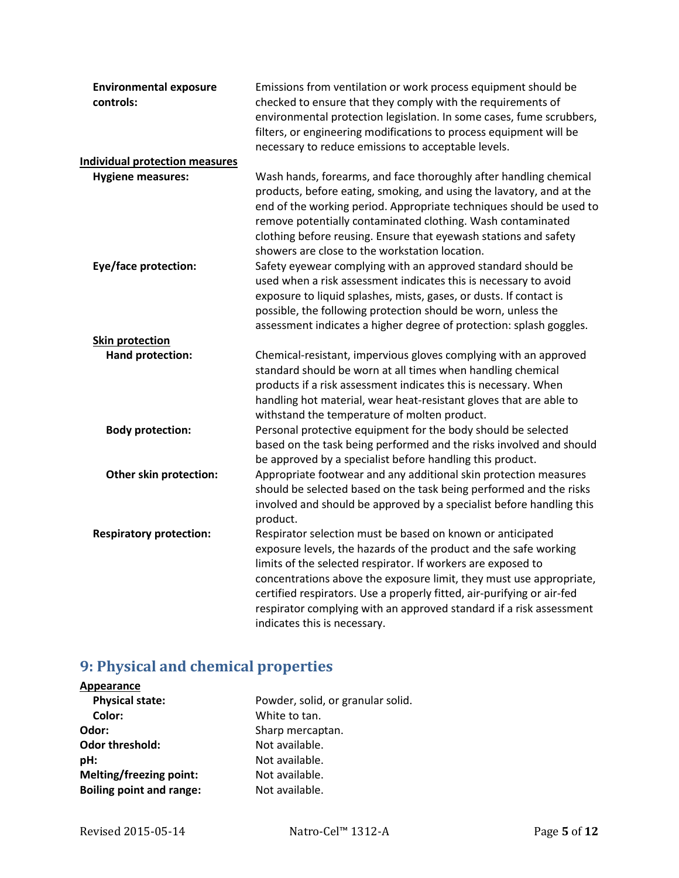| <b>Environmental exposure</b>         | Emissions from ventilation or work process equipment should be                                                                         |
|---------------------------------------|----------------------------------------------------------------------------------------------------------------------------------------|
| controls:                             | checked to ensure that they comply with the requirements of<br>environmental protection legislation. In some cases, fume scrubbers,    |
|                                       | filters, or engineering modifications to process equipment will be                                                                     |
|                                       | necessary to reduce emissions to acceptable levels.                                                                                    |
| <b>Individual protection measures</b> |                                                                                                                                        |
| <b>Hygiene measures:</b>              | Wash hands, forearms, and face thoroughly after handling chemical                                                                      |
|                                       | products, before eating, smoking, and using the lavatory, and at the                                                                   |
|                                       | end of the working period. Appropriate techniques should be used to                                                                    |
|                                       | remove potentially contaminated clothing. Wash contaminated                                                                            |
|                                       | clothing before reusing. Ensure that eyewash stations and safety                                                                       |
|                                       | showers are close to the workstation location.                                                                                         |
| <b>Eye/face protection:</b>           | Safety eyewear complying with an approved standard should be                                                                           |
|                                       | used when a risk assessment indicates this is necessary to avoid                                                                       |
|                                       | exposure to liquid splashes, mists, gases, or dusts. If contact is                                                                     |
|                                       | possible, the following protection should be worn, unless the                                                                          |
|                                       | assessment indicates a higher degree of protection: splash goggles.                                                                    |
| <b>Skin protection</b>                |                                                                                                                                        |
| Hand protection:                      | Chemical-resistant, impervious gloves complying with an approved                                                                       |
|                                       | standard should be worn at all times when handling chemical                                                                            |
|                                       | products if a risk assessment indicates this is necessary. When                                                                        |
|                                       | handling hot material, wear heat-resistant gloves that are able to                                                                     |
|                                       | withstand the temperature of molten product.                                                                                           |
| <b>Body protection:</b>               | Personal protective equipment for the body should be selected                                                                          |
|                                       | based on the task being performed and the risks involved and should                                                                    |
|                                       | be approved by a specialist before handling this product.                                                                              |
| Other skin protection:                | Appropriate footwear and any additional skin protection measures<br>should be selected based on the task being performed and the risks |
|                                       | involved and should be approved by a specialist before handling this                                                                   |
|                                       | product.                                                                                                                               |
| <b>Respiratory protection:</b>        | Respirator selection must be based on known or anticipated                                                                             |
|                                       | exposure levels, the hazards of the product and the safe working                                                                       |
|                                       | limits of the selected respirator. If workers are exposed to                                                                           |
|                                       | concentrations above the exposure limit, they must use appropriate,                                                                    |
|                                       | certified respirators. Use a properly fitted, air-purifying or air-fed                                                                 |
|                                       | respirator complying with an approved standard if a risk assessment                                                                    |
|                                       | indicates this is necessary.                                                                                                           |

## **9: Physical and chemical properties**

| Appearance                      |                                   |
|---------------------------------|-----------------------------------|
| <b>Physical state:</b>          | Powder, solid, or granular solid. |
| Color:                          | White to tan.                     |
| Odor:                           | Sharp mercaptan.                  |
| <b>Odor threshold:</b>          | Not available.                    |
| pH:                             | Not available.                    |
| <b>Melting/freezing point:</b>  | Not available.                    |
| <b>Boiling point and range:</b> | Not available.                    |
|                                 |                                   |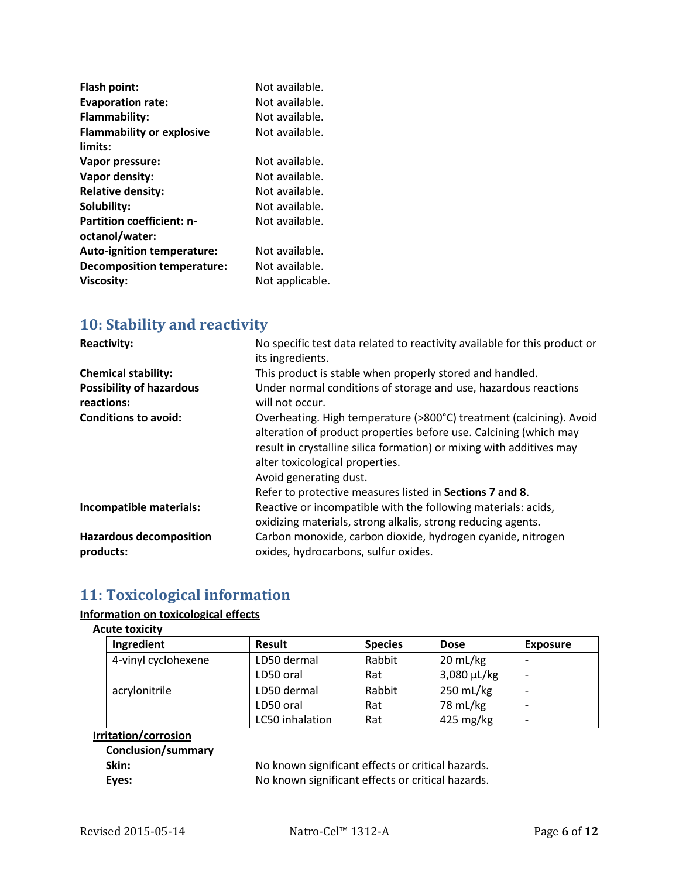| Flash point:                      | Not available.  |
|-----------------------------------|-----------------|
| <b>Evaporation rate:</b>          | Not available.  |
| Flammability:                     | Not available.  |
| <b>Flammability or explosive</b>  | Not available.  |
| limits:                           |                 |
| Vapor pressure:                   | Not available.  |
| Vapor density:                    | Not available.  |
| <b>Relative density:</b>          | Not available.  |
| Solubility:                       | Not available.  |
| <b>Partition coefficient: n-</b>  | Not available.  |
| octanol/water:                    |                 |
| <b>Auto-ignition temperature:</b> | Not available.  |
| <b>Decomposition temperature:</b> | Not available.  |
| <b>Viscosity:</b>                 | Not applicable. |

## **10: Stability and reactivity**

| <b>Reactivity:</b>                            | No specific test data related to reactivity available for this product or<br>its ingredients.                                                                                                                                                                                                                                             |
|-----------------------------------------------|-------------------------------------------------------------------------------------------------------------------------------------------------------------------------------------------------------------------------------------------------------------------------------------------------------------------------------------------|
| <b>Chemical stability:</b>                    | This product is stable when properly stored and handled.                                                                                                                                                                                                                                                                                  |
| <b>Possibility of hazardous</b><br>reactions: | Under normal conditions of storage and use, hazardous reactions<br>will not occur.                                                                                                                                                                                                                                                        |
| <b>Conditions to avoid:</b>                   | Overheating. High temperature (>800°C) treatment (calcining). Avoid<br>alteration of product properties before use. Calcining (which may<br>result in crystalline silica formation) or mixing with additives may<br>alter toxicological properties.<br>Avoid generating dust.<br>Refer to protective measures listed in Sections 7 and 8. |
| Incompatible materials:                       | Reactive or incompatible with the following materials: acids,<br>oxidizing materials, strong alkalis, strong reducing agents.                                                                                                                                                                                                             |
| <b>Hazardous decomposition</b><br>products:   | Carbon monoxide, carbon dioxide, hydrogen cyanide, nitrogen<br>oxides, hydrocarbons, sulfur oxides.                                                                                                                                                                                                                                       |

## **11: Toxicological information**

### **Information on toxicological effects**

### **Acute toxicity**

| Ingredient          | <b>Result</b>   | <b>Species</b> | <b>Dose</b>        | <b>Exposure</b> |
|---------------------|-----------------|----------------|--------------------|-----------------|
| 4-vinyl cyclohexene | LD50 dermal     | Rabbit         | $20 \text{ mL/kg}$ |                 |
|                     | LD50 oral       | Rat            | $3,080 \mu L/kg$   |                 |
| acrylonitrile       | LD50 dermal     | Rabbit         | 250 mL/kg          |                 |
|                     | LD50 oral       | Rat            | 78 mL/kg           |                 |
|                     | LC50 inhalation | Rat            | 425 mg/kg          |                 |

## **Irritation/corrosion**

| <b>Conclusion/summary</b> |  |
|---------------------------|--|
| Skin:                     |  |
| Eves:                     |  |

**Skin:** No known significant effects or critical hazards. **Figure 3.1** No known significant effects or critical hazards.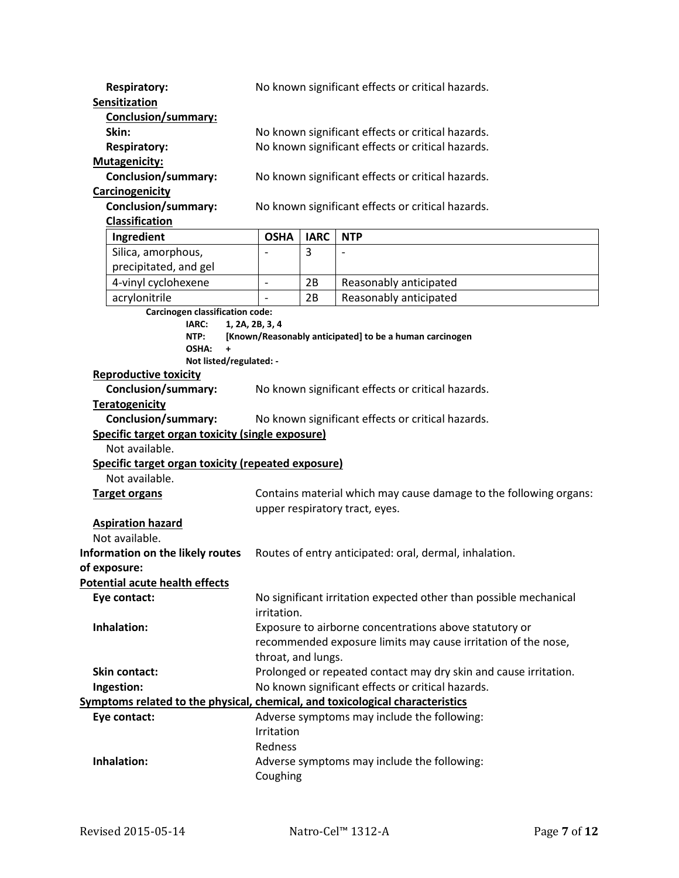| <b>Respiratory:</b>                                                                        | No known significant effects or critical hazards.                                                      |             |                                                                   |
|--------------------------------------------------------------------------------------------|--------------------------------------------------------------------------------------------------------|-------------|-------------------------------------------------------------------|
| Sensitization<br>Conclusion/summary:                                                       |                                                                                                        |             |                                                                   |
| Skin:                                                                                      |                                                                                                        |             |                                                                   |
| <b>Respiratory:</b>                                                                        | No known significant effects or critical hazards.<br>No known significant effects or critical hazards. |             |                                                                   |
| <b>Mutagenicity:</b>                                                                       |                                                                                                        |             |                                                                   |
| <b>Conclusion/summary:</b>                                                                 |                                                                                                        |             | No known significant effects or critical hazards.                 |
| Carcinogenicity                                                                            |                                                                                                        |             |                                                                   |
| <b>Conclusion/summary:</b>                                                                 |                                                                                                        |             | No known significant effects or critical hazards.                 |
| <b>Classification</b>                                                                      |                                                                                                        |             |                                                                   |
| Ingredient                                                                                 | <b>OSHA</b>                                                                                            | <b>IARC</b> | <b>NTP</b>                                                        |
| Silica, amorphous,                                                                         |                                                                                                        | 3           | $\overline{a}$                                                    |
| precipitated, and gel                                                                      |                                                                                                        |             |                                                                   |
| 4-vinyl cyclohexene                                                                        | $\overline{a}$                                                                                         | 2B          | Reasonably anticipated                                            |
| acrylonitrile                                                                              |                                                                                                        | 2B          | Reasonably anticipated                                            |
| Carcinogen classification code:                                                            |                                                                                                        |             |                                                                   |
| IARC:<br>1, 2A, 2B, 3, 4<br>NTP:                                                           |                                                                                                        |             | [Known/Reasonably anticipated] to be a human carcinogen           |
| OSHA:                                                                                      |                                                                                                        |             |                                                                   |
| Not listed/regulated: -                                                                    |                                                                                                        |             |                                                                   |
| <b>Reproductive toxicity</b>                                                               |                                                                                                        |             |                                                                   |
| <b>Conclusion/summary:</b>                                                                 |                                                                                                        |             | No known significant effects or critical hazards.                 |
| <b>Teratogenicity</b>                                                                      |                                                                                                        |             |                                                                   |
| <b>Conclusion/summary:</b>                                                                 |                                                                                                        |             | No known significant effects or critical hazards.                 |
| Specific target organ toxicity (single exposure)                                           |                                                                                                        |             |                                                                   |
| Not available.                                                                             |                                                                                                        |             |                                                                   |
| Specific target organ toxicity (repeated exposure)                                         |                                                                                                        |             |                                                                   |
| Not available.                                                                             |                                                                                                        |             |                                                                   |
| <b>Target organs</b>                                                                       | Contains material which may cause damage to the following organs:                                      |             |                                                                   |
|                                                                                            |                                                                                                        |             | upper respiratory tract, eyes.                                    |
| <b>Aspiration hazard</b>                                                                   |                                                                                                        |             |                                                                   |
| Not available.                                                                             |                                                                                                        |             |                                                                   |
| Information on the likely routes<br>Routes of entry anticipated: oral, dermal, inhalation. |                                                                                                        |             |                                                                   |
| of exposure:<br><b>Potential acute health effects</b>                                      |                                                                                                        |             |                                                                   |
| Eye contact:                                                                               |                                                                                                        |             | No significant irritation expected other than possible mechanical |
|                                                                                            | irritation.                                                                                            |             |                                                                   |
| Inhalation:                                                                                |                                                                                                        |             | Exposure to airborne concentrations above statutory or            |
|                                                                                            |                                                                                                        |             | recommended exposure limits may cause irritation of the nose,     |
|                                                                                            | throat, and lungs.                                                                                     |             |                                                                   |
| <b>Skin contact:</b>                                                                       | Prolonged or repeated contact may dry skin and cause irritation.                                       |             |                                                                   |
| Ingestion:                                                                                 | No known significant effects or critical hazards.                                                      |             |                                                                   |
| Symptoms related to the physical, chemical, and toxicological characteristics              |                                                                                                        |             |                                                                   |
| Eye contact:                                                                               |                                                                                                        |             | Adverse symptoms may include the following:                       |
|                                                                                            | Irritation                                                                                             |             |                                                                   |
|                                                                                            | Redness                                                                                                |             |                                                                   |
| Inhalation:                                                                                |                                                                                                        |             | Adverse symptoms may include the following:                       |
|                                                                                            | Coughing                                                                                               |             |                                                                   |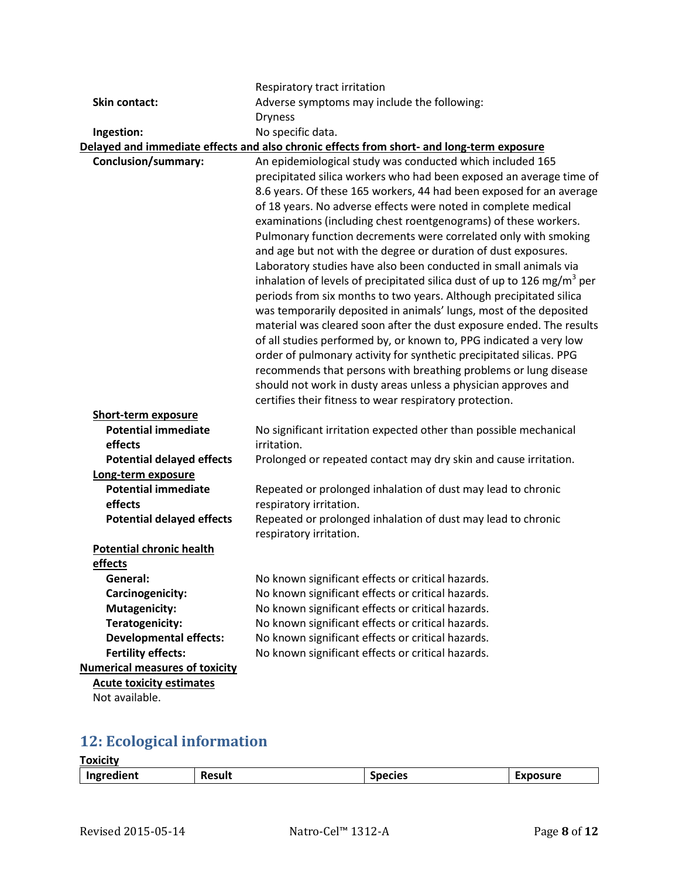|                                       | Respiratory tract irritation                                                              |  |  |
|---------------------------------------|-------------------------------------------------------------------------------------------|--|--|
| <b>Skin contact:</b>                  | Adverse symptoms may include the following:                                               |  |  |
|                                       | <b>Dryness</b>                                                                            |  |  |
| Ingestion:                            | No specific data.                                                                         |  |  |
|                                       | Delayed and immediate effects and also chronic effects from short- and long-term exposure |  |  |
| Conclusion/summary:                   | An epidemiological study was conducted which included 165                                 |  |  |
|                                       | precipitated silica workers who had been exposed an average time of                       |  |  |
|                                       | 8.6 years. Of these 165 workers, 44 had been exposed for an average                       |  |  |
|                                       | of 18 years. No adverse effects were noted in complete medical                            |  |  |
|                                       | examinations (including chest roentgenograms) of these workers.                           |  |  |
|                                       | Pulmonary function decrements were correlated only with smoking                           |  |  |
|                                       | and age but not with the degree or duration of dust exposures.                            |  |  |
|                                       | Laboratory studies have also been conducted in small animals via                          |  |  |
|                                       | inhalation of levels of precipitated silica dust of up to 126 mg/m <sup>3</sup> per       |  |  |
|                                       | periods from six months to two years. Although precipitated silica                        |  |  |
|                                       | was temporarily deposited in animals' lungs, most of the deposited                        |  |  |
|                                       | material was cleared soon after the dust exposure ended. The results                      |  |  |
|                                       | of all studies performed by, or known to, PPG indicated a very low                        |  |  |
|                                       | order of pulmonary activity for synthetic precipitated silicas. PPG                       |  |  |
|                                       | recommends that persons with breathing problems or lung disease                           |  |  |
|                                       | should not work in dusty areas unless a physician approves and                            |  |  |
|                                       | certifies their fitness to wear respiratory protection.                                   |  |  |
| <b>Short-term exposure</b>            |                                                                                           |  |  |
| <b>Potential immediate</b>            | No significant irritation expected other than possible mechanical                         |  |  |
| effects                               | irritation.                                                                               |  |  |
| <b>Potential delayed effects</b>      | Prolonged or repeated contact may dry skin and cause irritation.                          |  |  |
| Long-term exposure                    |                                                                                           |  |  |
| <b>Potential immediate</b>            | Repeated or prolonged inhalation of dust may lead to chronic                              |  |  |
| effects                               | respiratory irritation.                                                                   |  |  |
| <b>Potential delayed effects</b>      | Repeated or prolonged inhalation of dust may lead to chronic<br>respiratory irritation.   |  |  |
| <b>Potential chronic health</b>       |                                                                                           |  |  |
| effects                               |                                                                                           |  |  |
| General:                              | No known significant effects or critical hazards.                                         |  |  |
| Carcinogenicity:                      | No known significant effects or critical hazards.                                         |  |  |
| <b>Mutagenicity:</b>                  | No known significant effects or critical hazards.                                         |  |  |
| Teratogenicity:                       | No known significant effects or critical hazards.                                         |  |  |
| <b>Developmental effects:</b>         | No known significant effects or critical hazards.                                         |  |  |
| <b>Fertility effects:</b>             | No known significant effects or critical hazards.                                         |  |  |
| <b>Numerical measures of toxicity</b> |                                                                                           |  |  |
| <b>Acute toxicity estimates</b>       |                                                                                           |  |  |
| Not available.                        |                                                                                           |  |  |

## **12: Ecological information**

| <b>Toxicity</b>   |               |           |          |
|-------------------|---------------|-----------|----------|
| ent<br>$-100$<br> | <b>Result</b> | .i.<br>≏ו | 11 I r A |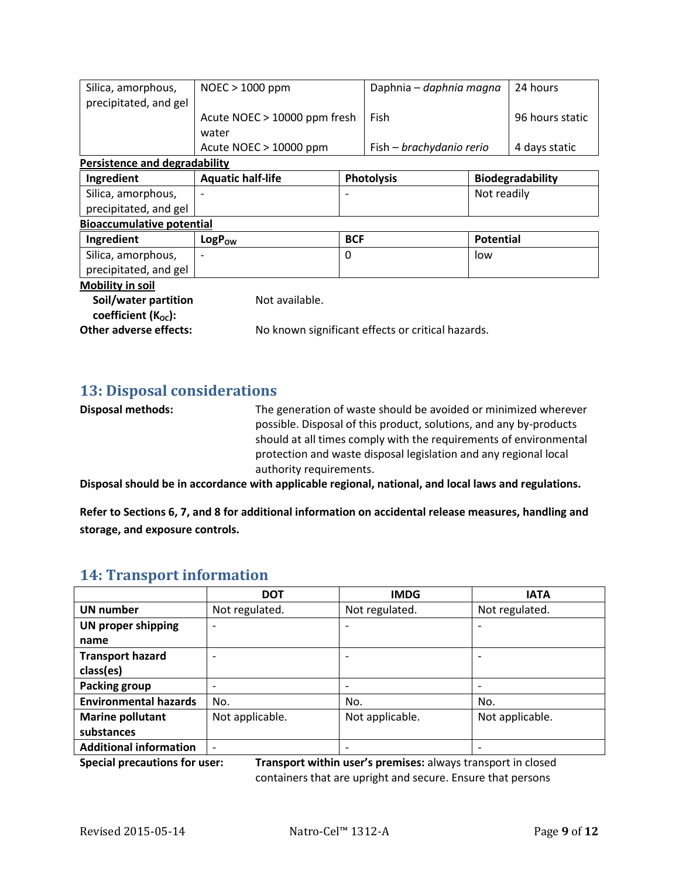| Silica, amorphous,                   | $NOEC > 1000$ ppm            |            | Daphnia – daphnia magna                           |                  | 24 hours                |
|--------------------------------------|------------------------------|------------|---------------------------------------------------|------------------|-------------------------|
| precipitated, and gel                |                              |            |                                                   |                  |                         |
|                                      | Acute NOEC > 10000 ppm fresh |            | Fish                                              |                  | 96 hours static         |
|                                      | water                        |            |                                                   |                  |                         |
|                                      | Acute NOEC $> 10000$ ppm     |            | Fish – brachydanio rerio                          |                  | 4 days static           |
| <b>Persistence and degradability</b> |                              |            |                                                   |                  |                         |
| Ingredient                           | <b>Aquatic half-life</b>     |            | <b>Photolysis</b>                                 |                  | <b>Biodegradability</b> |
| Silica, amorphous,                   |                              |            |                                                   | Not readily      |                         |
| precipitated, and gel                |                              |            |                                                   |                  |                         |
| <b>Bioaccumulative potential</b>     |                              |            |                                                   |                  |                         |
| Ingredient                           | <b>LogPow</b>                | <b>BCF</b> |                                                   | <b>Potential</b> |                         |
| Silica, amorphous,                   |                              | $\Omega$   |                                                   | low              |                         |
| precipitated, and gel                |                              |            |                                                   |                  |                         |
| <b>Mobility in soil</b>              |                              |            |                                                   |                  |                         |
| Soil/water partition                 | Not available.               |            |                                                   |                  |                         |
| coefficient $(K_{\text{oc}})$ :      |                              |            |                                                   |                  |                         |
| <b>Other adverse effects:</b>        |                              |            | No known significant effects or critical hazards. |                  |                         |

## **13: Disposal considerations**

**Disposal methods:** The generation of waste should be avoided or minimized wherever possible. Disposal of this product, solutions, and any by-products should at all times comply with the requirements of environmental protection and waste disposal legislation and any regional local authority requirements.

**Disposal should be in accordance with applicable regional, national, and local laws and regulations.**

**Refer to Sections 6, 7, and 8 for additional information on accidental release measures, handling and storage, and exposure controls.**

## **14: Transport information**

|                               | <b>DOT</b>               | <b>IMDG</b>              | <b>IATA</b>     |
|-------------------------------|--------------------------|--------------------------|-----------------|
| <b>UN number</b>              | Not regulated.           | Not regulated.           | Not regulated.  |
| <b>UN proper shipping</b>     |                          | $\overline{\phantom{a}}$ |                 |
| name                          |                          |                          |                 |
| <b>Transport hazard</b>       | $\overline{\phantom{0}}$ | $\overline{\phantom{a}}$ |                 |
| class(es)                     |                          |                          |                 |
| <b>Packing group</b>          |                          | $\overline{\phantom{a}}$ |                 |
| <b>Environmental hazards</b>  | No.                      | No.                      | No.             |
| <b>Marine pollutant</b>       | Not applicable.          | Not applicable.          | Not applicable. |
| substances                    |                          |                          |                 |
| <b>Additional information</b> |                          | $\overline{\phantom{a}}$ |                 |

**Special precautions for user: Transport within user's premises:** always transport in closed containers that are upright and secure. Ensure that persons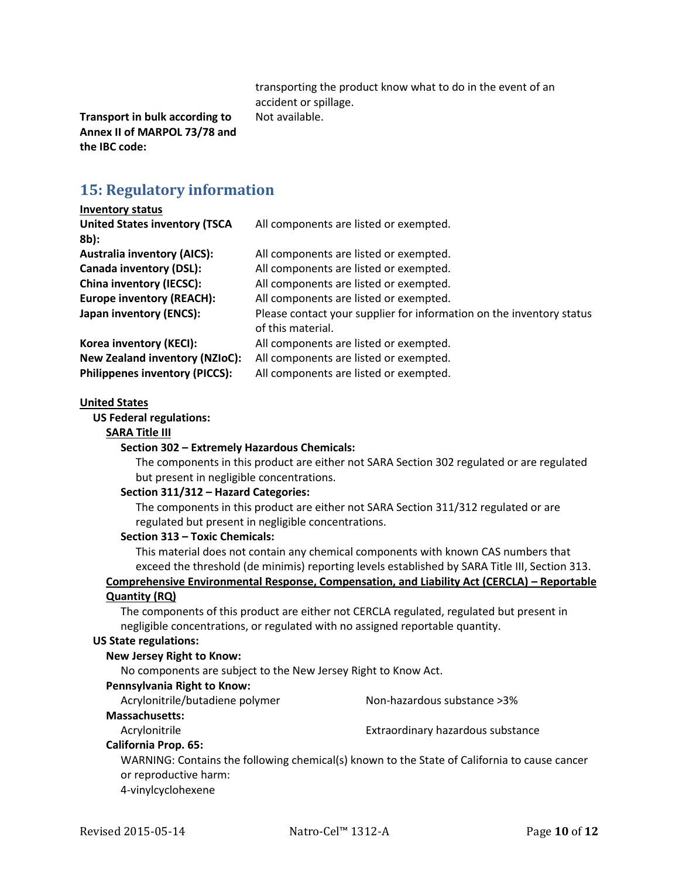transporting the product know what to do in the event of an accident or spillage. Not available.

**Transport in bulk according to Annex II of MARPOL 73/78 and the IBC code:**

## **15: Regulatory information**

#### **Inventory status United States inventory (TSCA 8b):** All components are listed or exempted. **Australia inventory (AICS):** All components are listed or exempted. **Canada inventory (DSL):** All components are listed or exempted. **China inventory (IECSC):** All components are listed or exempted. **Europe inventory (REACH):** All components are listed or exempted. Japan inventory (ENCS): Please contact your supplier for information on the inventory status of this material. **Korea inventory (KECI):** All components are listed or exempted. **New Zealand inventory (NZIoC):** All components are listed or exempted. **Philippenes inventory (PICCS):** All components are listed or exempted.

#### **United States**

**US Federal regulations:**

#### **SARA Title III**

#### **Section 302 – Extremely Hazardous Chemicals:**

The components in this product are either not SARA Section 302 regulated or are regulated but present in negligible concentrations.

#### **Section 311/312 – Hazard Categories:**

The components in this product are either not SARA Section 311/312 regulated or are regulated but present in negligible concentrations.

#### **Section 313 – Toxic Chemicals:**

This material does not contain any chemical components with known CAS numbers that exceed the threshold (de minimis) reporting levels established by SARA Title III, Section 313.

### **Comprehensive Environmental Response, Compensation, and Liability Act (CERCLA) – Reportable Quantity (RQ)**

The components of this product are either not CERCLA regulated, regulated but present in negligible concentrations, or regulated with no assigned reportable quantity.

#### **US State regulations:**

#### **New Jersey Right to Know:**

No components are subject to the New Jersey Right to Know Act.

#### **Pennsylvania Right to Know:**

| Acrylonitrile/butadiene polymer | Non-hazardous substance > 3%                                                                 |
|---------------------------------|----------------------------------------------------------------------------------------------|
| <b>Massachusetts:</b>           |                                                                                              |
| Acrylonitrile                   | Extraordinary hazardous substance                                                            |
| <b>California Prop. 65:</b>     |                                                                                              |
|                                 | WARNING: Contains the following chemical(s) known to the State of California to cause cancer |
| or reproductive harm:           |                                                                                              |

4-vinylcyclohexene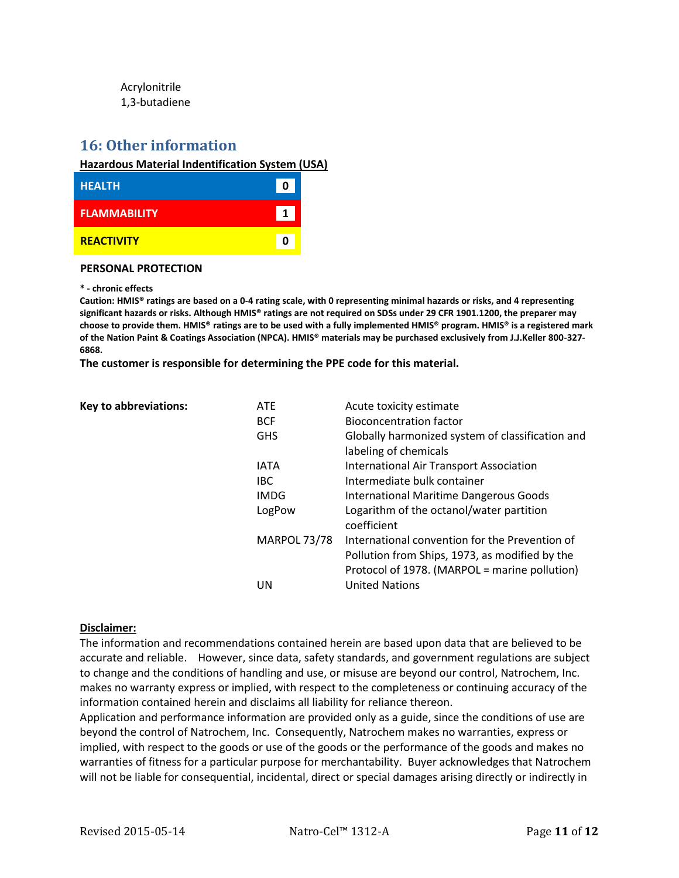Acrylonitrile 1,3-butadiene

## **16: Other information**

#### **Hazardous Material Indentification System (USA)**

| <b>HEALTH</b>       | n |
|---------------------|---|
| <b>FLAMMABILITY</b> | 1 |
| <b>REACTIVITY</b>   | n |

#### **PERSONAL PROTECTION**

#### **\* - chronic effects**

**Caution: HMIS® ratings are based on a 0-4 rating scale, with 0 representing minimal hazards or risks, and 4 representing significant hazards or risks. Although HMIS® ratings are not required on SDSs under 29 CFR 1901.1200, the preparer may choose to provide them. HMIS® ratings are to be used with a fully implemented HMIS® program. HMIS® is a registered mark of the Nation Paint & Coatings Association (NPCA). HMIS® materials may be purchased exclusively from J.J.Keller 800-327- 6868.**

**The customer is responsible for determining the PPE code for this material.**

| <b>Key to abbreviations:</b> | <b>ATE</b>          | Acute toxicity estimate                                 |
|------------------------------|---------------------|---------------------------------------------------------|
|                              | <b>BCF</b>          | <b>Bioconcentration factor</b>                          |
|                              | <b>GHS</b>          | Globally harmonized system of classification and        |
|                              |                     | labeling of chemicals                                   |
|                              | <b>IATA</b>         | <b>International Air Transport Association</b>          |
|                              | <b>IBC</b>          | Intermediate bulk container                             |
|                              | <b>IMDG</b>         | International Maritime Dangerous Goods                  |
|                              | LogPow              | Logarithm of the octanol/water partition<br>coefficient |
|                              | <b>MARPOL 73/78</b> | International convention for the Prevention of          |
|                              |                     | Pollution from Ships, 1973, as modified by the          |
|                              |                     | Protocol of 1978. (MARPOL = marine pollution)           |
|                              | UN                  | <b>United Nations</b>                                   |

### **Disclaimer:**

The information and recommendations contained herein are based upon data that are believed to be accurate and reliable. However, since data, safety standards, and government regulations are subject to change and the conditions of handling and use, or misuse are beyond our control, Natrochem, Inc. makes no warranty express or implied, with respect to the completeness or continuing accuracy of the information contained herein and disclaims all liability for reliance thereon.

Application and performance information are provided only as a guide, since the conditions of use are beyond the control of Natrochem, Inc. Consequently, Natrochem makes no warranties, express or implied, with respect to the goods or use of the goods or the performance of the goods and makes no warranties of fitness for a particular purpose for merchantability. Buyer acknowledges that Natrochem will not be liable for consequential, incidental, direct or special damages arising directly or indirectly in